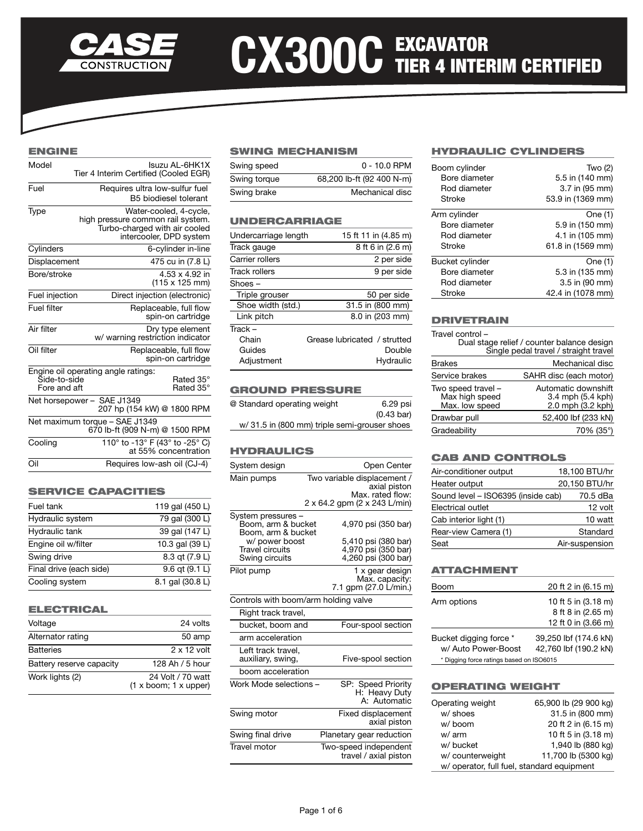

# CX300C EXCAVATOR<br>
TIER 4 INTERIM CERTIFIED

# ENGINE

| Model                                                            | İsuzu AL-6HK1X<br>Tier 4 Interim Certified (Cooled EGR)                                                                 |
|------------------------------------------------------------------|-------------------------------------------------------------------------------------------------------------------------|
| Fuel                                                             | Requires ultra low-sulfur fuel<br>B5 biodiesel tolerant                                                                 |
| Type                                                             | Water-cooled, 4-cycle,<br>high pressure common rail system.<br>Turbo-charged with air cooled<br>intercooler, DPD system |
| Cylinders                                                        | 6-cylinder in-line                                                                                                      |
| Displacement                                                     | 475 cu in (7.8 L)                                                                                                       |
| Bore/stroke                                                      | 4.53 x 4.92 in<br>(115 x 125 mm)                                                                                        |
| Fuel injection                                                   | Direct injection (electronic)                                                                                           |
| Fuel filter                                                      | Replaceable, full flow<br>spin-on cartridge                                                                             |
| Air filter                                                       | Dry type element<br>w/ warning restriction indicator                                                                    |
| Oil filter                                                       | Replaceable, full flow<br>spin-on cartridge                                                                             |
| Šide-to-side<br>Fore and aft                                     | Engine oil operating angle ratings:<br>Rated 35°<br>Rated 35°                                                           |
|                                                                  | Net horsepower - SAE J1349<br>207 hp (154 kW) @ 1800 RPM                                                                |
| Net maximum torque - SAE J1349<br>670 lb-ft (909 N-m) @ 1500 RPM |                                                                                                                         |
| Cooling                                                          | 110° to -13° F (43° to -25° C)<br>at 55% concentration                                                                  |
| Oil                                                              | Requires low-ash oil (CJ-4)                                                                                             |

#### SERVICE CAPACITIES

| Fuel tank               | 119 gal (450 L)    |
|-------------------------|--------------------|
| Hydraulic system        | 79 gal (300 L)     |
| Hydraulic tank          | 39 gal (147 L)     |
| Engine oil w/filter     | 10.3 gal (39 L)    |
| Swing drive             | 8.3 qt (7.9 L)     |
| Final drive (each side) | $9.6$ qt $(9.1 L)$ |
| Cooling system          | 8.1 gal (30.8 L)   |

### ELECTRICAL

| Voltage                  | 24 volts                                       |
|--------------------------|------------------------------------------------|
| Alternator rating        | 50 amp                                         |
| <b>Batteries</b>         | $2 \times 12$ volt                             |
| Battery reserve capacity | 128 Ah / 5 hour                                |
| Work lights (2)          | 24 Volt / 70 watt<br>$(1 x$ boom; $1 x$ upper) |

# SWING MECHANISM

| Swing speed  | $0 - 10.0$ RPM            |
|--------------|---------------------------|
| Swing torque | 68,200 lb-ft (92 400 N-m) |
| Swing brake  | Mechanical disc           |

# UNDERCARRIAGE

| Undercarriage length | 15 ft 11 in (4.85 m)         |
|----------------------|------------------------------|
| Track gauge          | 8 ft 6 in (2.6 m)            |
| Carrier rollers      | 2 per side                   |
| Track rollers        | 9 per side                   |
| Shoes –              |                              |
| Triple grouser       | 50 per side                  |
| Shoe width (std.)    | 31.5 in (800 mm)             |
| Link pitch           | 8.0 in (203 mm)              |
| Track-               |                              |
| Chain                | Grease lubricated / strutted |
| Guides               | Double                       |
| Adjustment           | Hydraulic                    |
|                      |                              |

#### GROUND PRESSURE

| @ Standard operating weight                  | 6.29 psi             |
|----------------------------------------------|----------------------|
|                                              | $(0.43 \text{ bar})$ |
| w/31.5 in (800 mm) triple semi-grouser shoes |                      |

## HYDRAULICS

| System design                                                  | Open Center                                                       |
|----------------------------------------------------------------|-------------------------------------------------------------------|
| Main pumps                                                     | Two variable displacement /<br>axial piston<br>Max. rated flow:   |
|                                                                | 2 x 64.2 gpm (2 x 243 L/min)                                      |
| System pressures -<br>Boom, arm & bucket<br>Boom, arm & bucket | 4,970 psi (350 bar)                                               |
| w/ power boost<br><b>Travel circuits</b><br>Swing circuits     | 5,410 psi (380 bar)<br>4,970 psi (350 bar)<br>4,260 psi (300 bar) |
| Pilot pump                                                     | 1 x gear design<br>Max. capacity:<br>7.1 gpm (27.0 L/min.)        |
| Controls with boom/arm holding valve                           |                                                                   |
| Right track travel,                                            |                                                                   |
| bucket, boom and                                               | Four-spool section                                                |
| arm acceleration                                               |                                                                   |
| Left track travel,<br>auxiliary, swing,                        | Five-spool section                                                |
| boom acceleration                                              |                                                                   |
| Work Mode selections -                                         | SP: Speed Priority<br>H: Heavy Duty<br>A: Automatic               |
| Swing motor                                                    | <b>Fixed displacement</b><br>axial piston                         |
| Swing final drive                                              | Planetary gear reduction                                          |
| Travel motor                                                   | Two-speed independent<br>travel / axial piston                    |

# HYDRAULIC CYLINDERS

| Boom cylinder   | Two $(2)$         |
|-----------------|-------------------|
| Bore diameter   | 5.5 in (140 mm)   |
| Rod diameter    | 3.7 in (95 mm)    |
| Stroke          | 53.9 in (1369 mm) |
| Arm cylinder    | One (1)           |
| Bore diameter   | 5.9 in (150 mm)   |
| Rod diameter    | 4.1 in (105 mm)   |
| Stroke          | 61.8 in (1569 mm) |
| Bucket cylinder | One (1)           |
| Bore diameter   | 5.3 in (135 mm)   |
| Rod diameter    | 3.5 in (90 mm)    |
| Stroke          | 42.4 in (1078 mm) |

#### DRIVETRAIN

| Travel control -                                       | Dual stage relief / counter balance design<br>Single pedal travel / straight travel |
|--------------------------------------------------------|-------------------------------------------------------------------------------------|
| <b>Brakes</b>                                          | Mechanical disc                                                                     |
| Service brakes                                         | SAHR disc (each motor)                                                              |
| Two speed travel -<br>Max high speed<br>Max. low speed | Automatic downshift<br>3.4 mph (5.4 kph)<br>2.0 mph (3.2 kph)                       |
| Drawbar pull                                           | 52,400 lbf (233 kN)                                                                 |
| Gradeability                                           | 70% (35°)                                                                           |

## CAB AND CONTROLS

| Air-conditioner output             | 18,100 BTU/hr  |          |
|------------------------------------|----------------|----------|
| Heater output                      | 20,150 BTU/hr  |          |
| Sound level - ISO6395 (inside cab) |                | 70.5 dBa |
| Electrical outlet                  |                | 12 volt  |
| Cab interior light (1)             |                | 10 watt  |
| Rear-view Camera (1)               |                | Standard |
| Seat                               | Air-suspension |          |

# ATTACHMENT

| Boom                                     | 20 ft 2 in (6.15 m)   |
|------------------------------------------|-----------------------|
| Arm options                              | 10 ft 5 in (3.18 m)   |
|                                          | 8 ft 8 in (2.65 m)    |
|                                          | 12 ft 0 in (3.66 m)   |
| Bucket digging force *                   | 39,250 lbf (174.6 kN) |
| w/ Auto Power-Boost                      | 42,760 lbf (190.2 kN) |
| * Digging force ratings based on ISO6015 |                       |

# OPERATING WEIGHT

| Operating weight                           | 65,900 lb (29 900 kg) |  |
|--------------------------------------------|-----------------------|--|
| w/ shoes                                   | 31.5 in (800 mm)      |  |
| w/boom                                     | 20 ft 2 in (6.15 m)   |  |
| w/ arm                                     | 10 ft 5 in (3.18 m)   |  |
| w/ bucket                                  | 1,940 lb (880 kg)     |  |
| w/counterweight                            | 11,700 lb (5300 kg)   |  |
| w/ operator, full fuel, standard equipment |                       |  |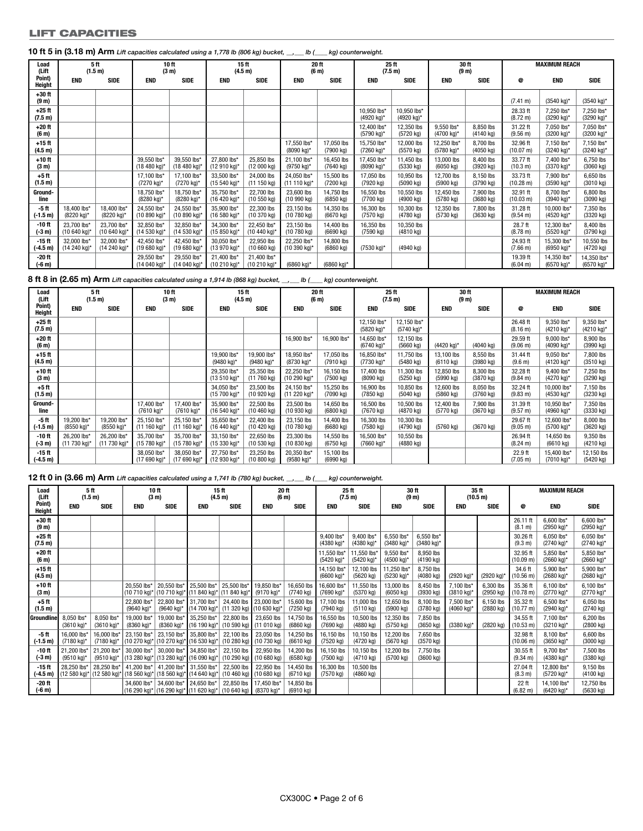#### LIFT CAPACITIES

| Load<br>(Lift                 | 5ft                         | (1.5 m)                     |                             | 10 ft<br>(3 <sub>m</sub> )  |                             | 15 ft<br>(4.5 m)                   | 20 ft<br>(6 <sub>m</sub> )  |                                   |                                   | 25 ft<br>(7.5 m)                  | 30 ft<br>(9 <sub>m</sub> )        |                                  |                                | <b>MAXIMUM REACH</b>                |                           |
|-------------------------------|-----------------------------|-----------------------------|-----------------------------|-----------------------------|-----------------------------|------------------------------------|-----------------------------|-----------------------------------|-----------------------------------|-----------------------------------|-----------------------------------|----------------------------------|--------------------------------|-------------------------------------|---------------------------|
| Point)<br><b>Height</b>       | <b>END</b>                  | <b>SIDE</b>                 | <b>END</b>                  | <b>SIDE</b>                 | <b>END</b>                  | <b>SIDE</b>                        | <b>END</b>                  | <b>SIDE</b>                       | <b>END</b>                        | <b>SIDE</b>                       | <b>END</b>                        | <b>SIDE</b>                      | @                              | <b>END</b>                          | <b>SIDE</b>               |
| $+30$ ft<br>(9 <sub>m</sub> ) |                             |                             |                             |                             |                             |                                    |                             |                                   |                                   |                                   |                                   |                                  | $(7.41 \text{ m})$             | $(3540 \text{ kg})^*$               | (3540 kg)*                |
| $+25$ ft<br>(7.5 m)           |                             |                             |                             |                             |                             |                                    |                             |                                   | 10,950 lbs*<br>(4920 kg)*         | 10,950 lbs*<br>(4920 kg)*         |                                   |                                  | 28.33 ft<br>$(8.72 \text{ m})$ | 7.250 lbs*<br>$(3290 \text{ kg})^*$ | 7,250 lbs*<br>(3290 kg)*  |
| $+20$ ft<br>(6 <sub>m</sub> ) |                             |                             |                             |                             |                             |                                    |                             |                                   | 12,400 lbs*<br>(5790 kg)*         | 12,350 lbs<br>(5720 kg)           | 9,550 lbs*<br>(4700 kg)*          | 8,850 lbs<br>$(4140 \text{ kg})$ | 31.22 ft<br>(9.56 m)           | 7,050 lbs*<br>$(3200 \text{ kg})^*$ | 7,050 lbs*<br>(3200 kg)*  |
| $+15$ ft<br>(4.5 m)           |                             |                             |                             |                             |                             |                                    | 17,550 lbs*<br>(8090 kg)*   | 17,050 lbs<br>(7900 kg)           | 15.750 lbs*<br>(7260 kg)*         | 12,000 lbs<br>(5570 kg)           | 12.250 lbs*<br>(5780 kg)*         | 8.700 lbs<br>(4050 kg)           | 32.96 ft<br>(10.07 m)          | 7,150 lbs*<br>$(3240 \text{ kg})^*$ | 7,150 lbs*<br>(3240 kg)*  |
| $+10$ ft<br>(3 <sub>m</sub> ) |                             |                             | 39,550 lbs*<br>(18 480 kg)* | 39,550 lbs*<br>(18 480 kg)* | 27,800 lbs*<br>(12 910 kg)* | 25,850 lbs<br>(12000 kg)           | 21,100 lbs*<br>(9750 kg)*   | 16,450 lbs<br>$(7640 \text{ kg})$ | 17,450 lbs*<br>(8090 kg)*         | 11,450 lbs<br>(5330 kg)           | 13,000 lbs<br>$(6050 \text{ kg})$ | 8.400 lbs<br>(3920 kg)           | 33.77 ft<br>(10.3 m)           | 7,400 lbs*<br>(3370 kg)*            | 6,750 lbs<br>(3060 kg)    |
| $+5$ ft<br>(1.5 m)            |                             |                             | 17,100 lbs*<br>(7270 kg)*   | 17,100 lbs*<br>(7270 kg)*   | 33,500 lbs*<br>(15 540 kg)* | 24,000 lbs<br>(11150 kg)           | 24,050 lbs*<br>(11 110 kg)* | 15,500 lbs<br>(7200 kg)           | 17,050 lbs<br>(7920 kg)           | 10,950 lbs<br>(5090 kg)           | 12,700 lbs<br>(5900 kg)           | 8,150 lbs<br>(3790 kg)           | 33.73 ft<br>(10.28 m)          | 7,900 lbs*<br>(3590 kg)*            | 6,650 lbs<br>(3010 kg)    |
| Ground-<br>line               |                             |                             | 18,750 lbs*<br>(8280 kg)*   | 18,750 lbs*<br>(8280 kg)*   | 35.750 lbs*<br>(16 420 kg)* | 22,700 lbs<br>(10 550 kg)          | 23,600 lbs<br>(10990 kg)    | 14,750 lbs<br>(6850 kg)           | 16,550 lbs<br>$(7700 \text{ kg})$ | 10,550 lbs<br>(4900 kg)           | 12.450 lbs<br>(5780 kg)           | 7.900 lbs<br>(3680 kg)           | 32.91 ft<br>(10.03 m)          | 8.700 lbs*<br>(3940 kg)*            | 6,800 lbs<br>(3090 kg)    |
| -5 ft<br>$(-1.5 m)$           | 18.400 lbs*<br>(8220 kg)*   | 18,400 lbs*<br>(8220 kg)*   | 24,550 lbs*<br>(10 890 kg)* | 24.550 lbs*<br>(10 890 kg)* | 35.900 lbs*<br>(16 580 kg)* | 22.300 lbs<br>$(10370 \text{ kg})$ | 23,150 lbs<br>(10 780 kg)   | 14,350 lbs<br>$(6670 \text{ kg})$ | 16,300 lbs<br>(7570 kg)           | 10,300 lbs<br>(4780 kg)           | 12.350 lbs<br>(5730 kg)           | 7.800 lbs<br>(3630 kg)           | 31.28 ft<br>(9.54 m)           | 10.000 lbs*<br>(4520 kg)*           | 7,350 lbs<br>(3320 kg)    |
| -10 ft<br>(-3 m)              | 23,700 lbs*<br>(10 640 kg)* | 23,700 lbs*<br>(10 640 kg)* | 32,850 lbs*<br>(14 530 kg)* | 32,850 lbs*<br>(14 530 kg)* | 34,300 lbs*<br>(15 850 kg)* | 22,450 lbs*<br>$(10 440 kg)^*$     | 23,150 lbs<br>(10 780 kg)   | 14,400 lbs<br>(6690 kg)           | 16,350 lbs<br>(7590 kg)           | 10,350 lbs<br>$(4810 \text{ kg})$ |                                   |                                  | 28.7 ft<br>(8.78 m)            | 12,300 lbs*<br>(5520 kg)*           | 8,400 lbs<br>(3790 kg)    |
| -15 ft<br>(-4.5 m)            | 32,000 lbs*<br>(14 240 kg)* | 32,000 lbs*<br>(14 240 kg)* | 42.450 lbs*<br>(19 680 kg)* | 42.450 lbs*<br>(19 680 kg)* | 30,050 lbs*<br>(13 970 kg)* | 22,950 lbs<br>(10660 kg)           | 22,250 lbs*<br>(10 390 kg)* | 14,800 lbs<br>(6860 kg)           | (7530 kg)*                        | (4940 kg)                         |                                   |                                  | 24.93 ft<br>$(7.66 \text{ m})$ | 15,300 lbs*<br>(6950 kg)*           | 10,550 lbs<br>(4720 kg)   |
| -20 ft<br>(-6 m)              |                             |                             | 29,550 lbs*<br>(14 040 kg)* | 29,550 lbs*<br>(14 040 kg)* | 21.400 lbs*<br>(10 210 kg)* | 21,400 lbs*<br>(10 210 kg)*        | (6860 kg)*                  | (6860 kg)*                        |                                   |                                   |                                   |                                  | 19.39 ft<br>(6.04 m)           | 14,350 lbs*<br>(6570 kg)*           | 14,350 lbs*<br>(6570 kg)* |

**8 ft 8 in (2.65 m) Arm** *Lift capacities calculated using a 1,914 lb (868 kg) bucket, \_\_,\_\_\_ lb (\_\_\_\_ kg) counterweight.*

| Load<br>(Lift                 | 5ft<br>(1.5 m)                       |                             | 10 ft<br>(3 m)                        |                             | 15 <sub>ft</sub><br>(4.5 m) |                                    | 20 ft<br>(6 <sub>m</sub> )  |                         | 25 ft<br>(7.5 m)          |                                   | 30 ft<br>(9 <sub>m</sub> )        |                                  | <b>MAXIMUM REACH</b>           |                                     |                          |
|-------------------------------|--------------------------------------|-----------------------------|---------------------------------------|-----------------------------|-----------------------------|------------------------------------|-----------------------------|-------------------------|---------------------------|-----------------------------------|-----------------------------------|----------------------------------|--------------------------------|-------------------------------------|--------------------------|
| Point)<br><b>Height</b>       | <b>END</b>                           | <b>SIDE</b>                 | <b>END</b>                            | <b>SIDE</b>                 | <b>END</b>                  | <b>SIDE</b>                        | <b>END</b>                  | <b>SIDE</b>             | <b>END</b>                | <b>SIDE</b>                       | <b>END</b>                        | <b>SIDE</b>                      | @                              | <b>END</b>                          | <b>SIDE</b>              |
| $+25$ ft<br>(7.5 m)           |                                      |                             |                                       |                             |                             |                                    |                             |                         | 12,150 lbs*<br>(5820 kg)* | 12.150 lbs*<br>(5740 kg)*         |                                   |                                  | 26.48 ft<br>(8.16 m)           | 9,350 lbs*<br>(4210 kg)*            | 9.350 lbs*<br>(4210 kg)* |
| $+20$ ft<br>(6 <sub>m</sub> ) |                                      |                             |                                       |                             |                             |                                    | 16,900 lbs*                 | 16,900 lbs*             | 14,650 lbs*<br>(6740 kg)* | 12,150 lbs<br>(5660 kg)           | (4420 kg)*                        | $(4040 \text{ kg})$              | 29.59 ft<br>(9.06 m)           | 9.000 lbs*<br>$(4090 \text{ kg})^*$ | 8,900 lbs<br>(3990 kg)   |
| $+15$ ft<br>(4.5 m)           |                                      |                             |                                       |                             | 19,900 lbs*<br>(9480 kg)*   | 19,900 lbs*<br>(9480 kg)*          | 18,950 lbs*<br>(8730 kg)*   | 17,050 lbs<br>(7910 kg) | 16.850 lbs*<br>(7730 kg)* | 11,750 lbs<br>(5480 kg)           | 13.100 lbs<br>(6110 kg)           | 8,550 lbs<br>(3980 kg)           | 31.44 ft<br>(9.6 m)            | 9,050 lbs*<br>(4120 kg)*            | 7,800 lbs<br>(3510 kg)   |
| $+10$ ft<br>(3 <sub>m</sub> ) |                                      |                             |                                       |                             | 29,350 lbs*<br>(13 510 kg)* | 25,350 lbs<br>$(11760 \text{ kg})$ | 22.250 lbs*<br>(10 290 kg)* | 16.150 lbs<br>(7500 kg) | 17.400 lbs<br>(8090 kg)   | 11,300 lbs<br>(5250 kg)           | 12.850 lbs<br>(5990 kg)           | 8.300 lbs<br>$(3870 \text{ kg})$ | 32.28 ft<br>$(9.84 \text{ m})$ | 9.400 lbs*<br>(4270 kg)*            | 7,250 lbs<br>(3290 kg)   |
| $+5$ ft<br>(1.5 m)            |                                      |                             |                                       |                             | 34,050 lbs*<br>(15 700 kg)* | 23,500 lbs<br>(10920 kg)           | 24.150 lbs*<br>(11 220 kg)* | 15,250 lbs<br>(7090 kg) | 16,900 lbs<br>(7850 kg)   | 10.850 lbs<br>$(5040 \text{ kg})$ | 12,600 lbs<br>$(5860 \text{ kg})$ | 8.050 lbs<br>$(3760 \text{ kg})$ | 32.24 ft<br>$(9.83 \text{ m})$ | 10.000 lbs*<br>(4530 kg)*           | 7,150 lbs<br>(3230 kg)   |
| Ground-<br>line               |                                      |                             | 17.400 lbs*<br>(7610 kg)*             | 17.400 lbs*<br>(7610 kg)*   | 35.900 lbs*<br>(16 540 kg)* | 22,500 lbs<br>(10 460 kg)          | 23,500 lbs<br>(10930 kg)    | 14,650 lbs<br>(6800 kg) | 16.500 lbs<br>(7670 kg)   | 10,500 lbs<br>(4870 kg)           | 12,400 lbs<br>$(5770 \text{ kg})$ | 7,900 lbs<br>$(3670 \text{ kg})$ | 31.39 ft<br>(9.57 m)           | 10.950 lbs*<br>(4960 kg)*           | 7,350 lbs<br>(3330 kg)   |
| -5 ft<br>$(-1.5 m)$           | 19.200 lbs*<br>$(8550 \text{ kg})^*$ | 19,200 lbs*<br>(8550 kg)*   | 25,150 lbs*<br>$(11160 \text{ kg})^*$ | 25.150 lbs*<br>(11 160 kg)* | 35,650 lbs*<br>(16 440 kg)* | 22,400 lbs<br>(10 420 kg)          | 23,150 lbs<br>$(10780$ kg)  | 14,400 lbs<br>(6680 kg) | 16,300 lbs<br>(7580 kg)   | 10,300 lbs<br>(4790 kg)           | $(5760 \text{ kg})$               | $(3670 \text{ kg})$              | 29.67 ft<br>(9.05 m)           | 12,600 lbs*<br>(5700 kg)*           | 8,000 lbs<br>(3620 kg)   |
| -10 ft<br>(-3 m)              | 26,200 lbs*<br>(11 730 kg)*          | 26,200 lbs*<br>(11 730 kg)* | 35.700 lbs*<br>(15 780 kg)*           | 35.700 lbs*<br>(15 780 kg)* | 33,150 lbs*<br>(15 330 kg)* | 22,650 lbs<br>(10 530 kg)          | 23,300 lbs<br>(10 830 kg)   | 14,550 lbs<br>(6750 kg) | 16.500 lbs*<br>(7660 kg)* | 10,550 lbs<br>(4880 kg)           |                                   |                                  | 26.94 ft<br>(8.24 m)           | 14,650 lbs<br>$(6610 \text{ kg})$   | 9,350 lbs<br>(4210 kg)   |
| -15 ft<br>$(-4.5 m)$          |                                      |                             | 38,050 lbs*<br>(17 690 kg)*           | 38.050 lbs'<br>(17 690 kg)* | 27.750 lbs*<br>(12 930 kg)* | 23,250 lbs<br>(10 800 kg)          | 20,350 lbs*<br>(9580 kg)*   | 15,100 lbs<br>(6990 kg) |                           |                                   |                                   |                                  | 22.9 ft<br>(7.05 m)            | 15.400 lbs*<br>(7010 kg)*           | 12,150 lbs<br>(5420 kg)  |

# **12 ft 0 in (3.66 m) Arm** *Lift capacities calculated using a 1,741 lb (780 kg) bucket, \_\_,\_\_\_ lb (\_\_\_\_ kg) counterweight.*

| Load<br>(Lift                 |                           | 5 ft<br>(1.5 m)                                                            | 10 ft                                | (3 <sub>m</sub> )                                                           | 15 ft<br>(4.5 m)                                                      |                                                           | <b>20ft</b><br>(6 <sub>m</sub> ) |                                   |                           | 25 <sub>ft</sub><br>(7.5 m)       | 30 ft<br>(9 <sub>m</sub> )        |                                  | 35 ft<br>(10.5 m)        |                                  |                                 | <b>MAXIMUM REACH</b>      |                                     |
|-------------------------------|---------------------------|----------------------------------------------------------------------------|--------------------------------------|-----------------------------------------------------------------------------|-----------------------------------------------------------------------|-----------------------------------------------------------|----------------------------------|-----------------------------------|---------------------------|-----------------------------------|-----------------------------------|----------------------------------|--------------------------|----------------------------------|---------------------------------|---------------------------|-------------------------------------|
| Point)<br>Height              | <b>END</b>                | <b>SIDE</b>                                                                | END                                  | <b>SIDE</b>                                                                 | <b>END</b>                                                            | <b>SIDE</b>                                               | <b>END</b>                       | <b>SIDE</b>                       | <b>END</b>                | <b>SIDE</b>                       | <b>END</b>                        | <b>SIDE</b>                      | <b>END</b>               | <b>SIDE</b>                      | @                               | END                       | SIDE                                |
| $+30$ ft<br>(9 <sub>m</sub> ) |                           |                                                                            |                                      |                                                                             |                                                                       |                                                           |                                  |                                   |                           |                                   |                                   |                                  |                          |                                  | 26.11 ft<br>(8.1 m)             | 6,600 lbs*<br>(2950 kg)*  | 6.600 lbs*<br>(2950 kg)*            |
| $+25$ ft<br>(7.5 m)           |                           |                                                                            |                                      |                                                                             |                                                                       |                                                           |                                  |                                   | 9,400 lbs*<br>(4380 kg)*  | 9,400 lbs*<br>(4380 kg)*          | 6,550 lbs*<br>(3480 kg)*          | 6,550 lbs*<br>(3480 kg)*         |                          |                                  | 30.26 ft<br>(9.3 m)             | 6.050 lbs*<br>(2740 kg)*  | 6.050 lbs*<br>(2740 kg)*            |
| $+20$ ft<br>(6 <sub>m</sub> ) |                           |                                                                            |                                      |                                                                             |                                                                       |                                                           |                                  |                                   | 11.550 lbs*<br>(5420 kg)* | 11.550 lbs*<br>(5420 kg)*         | 9.550 lbs*<br>(4500 kg)*          | 8.950 lbs<br>(4190 kg)           |                          |                                  | 32.95 ft<br>(10.09 m)           | 5.850 lbs*<br>(2660 kg)*  | 5.850 lbs*<br>$(2660 \text{ kg})^*$ |
| $+15$ ft<br>(4.5 m)           |                           |                                                                            |                                      |                                                                             |                                                                       |                                                           |                                  |                                   | 14,150 lbs*<br>(6600 kg)* | 12,100 lbs<br>(5620 kg)           | 11,250 lbs*<br>(5230 kg)*         | 8,750 lbs<br>$(4080 \text{ kg})$ | (2920 kg)*               | (2920 kg)*                       | 34.6 ft<br>$(10.56)$ m)         | 5,900 lbs*<br>(2680 kg)*  | 5.900 lbs*<br>(2680 kg)*            |
| $+10$ ft<br>(3 <sub>m</sub> ) |                           |                                                                            | 20.550 lbs*<br>(10 710 kg)*          | 20,550 lbs* 25,500 lbs*                                                     | (10 710 kg)* (11 840 kg)* (11 840 kg)*                                | 25,500 lbs*                                               | 19,850 lbs*<br>(9170 kg)*        | 16,650 lbs<br>(7740 kg)           | 16,600 lbs*<br>(7690 kg)* | 11,550 lbs<br>$(5370 \text{ kg})$ | 13,000 lbs<br>$(6050 \text{ kg})$ | 8,450 lbs<br>$(3930 \text{ kg})$ | 7,100 lbs*<br>(3810 kg)* | 6,300 lbs<br>$(2950 \text{ kg})$ | 35.36 ft<br>(10.78 m)           | 6,100 lbs*<br>(2770 kg)*  | 6,100 lbs*<br>(2770 kg)*            |
| +5 ft<br>(1.5 m)              |                           |                                                                            | 22,800 lbs*<br>(9640 kg)*            | 22,800 lbs* 31,700 lbs*<br>(9640 kg)*                                       | (14 700 kg)*                                                          | 24,400 lbs 23,000 lbs*<br>(11 320 kg) (10 630 kg)*        |                                  | 15,600 lbs<br>$(7250 \text{ kg})$ | 17,100 lbs<br>(7940 kg)   | 11,000 lbs<br>$(5110 \text{ kg})$ | 12,650 lbs<br>(5900 kg)           | 8,100 lbs<br>$(3780 \text{ kg})$ | 7,500 lbs*<br>(4060 kg)* | 6,150 lbs<br>$(2880 \text{ kg})$ | 35.32 ft<br>$(10.77 \text{ m})$ | 6.500 lbs*<br>(2940 kg)*  | 6,050 lbs<br>$(2740 \text{ kg})$    |
| Groundlinel                   | 8,050 lbs*<br>(3610 kg)*  | 8,050 lbs*<br>$(3610 \text{ kg})^*$                                        | 19,000 lbs*<br>$(8360 \text{ kg})^*$ | $(8360 \text{ kg})^*$                                                       | 19,000 lbs* 35,250 lbs*<br>(16 190 kg)*                               | 22,800 lbs 23,650 lbs<br>$(10 590 kg)$ (11 010 kg)        |                                  | 14.750 lbs<br>$(6860 \text{ kg})$ | 16.550 lbs<br>(7690 kg)   | 10.500 lbs<br>$(4880 \text{ kg})$ | 12,350 lbs<br>$(5750 \text{ kg})$ | 7,850 lbs<br>$(3650 \text{ kg})$ | (3380 kg)*               | (2820 kg)                        | 34.55 ft<br>$(10.53 \text{ m})$ | 7.100 lbs*<br>(3210 kg)*  | 6.200 lbs<br>$(2800 \text{ kg})$    |
| -5 ft<br>(-1.5 m)             | 16,000 lbs*<br>(7180 kg)* | 16,000 lbs*<br>(7180 kg)*                                                  | 23.150 lbs*                          | 23,150 lbs* 35,800 lbs*<br>(10 270 kg)* (10 270 kg)* (16 530 kg)*           |                                                                       | 22.100 lbs  <br>(10 280 kg) (10 730 kg)                   | 23,050 lbs                       | 14,250 lbs<br>(6610 kg)           | 16,150 lbs<br>(7520 kg)   | 10,150 lbs<br>(4720 kg)           | 12,200 lbs<br>(5670 kg)           | 7,650 lbs<br>(3570 kg)           |                          |                                  | 32.98 ft<br>(10.06 m)           | 8.100 lbs*<br>(3650 kg)*  | 6,600 lbs<br>(3000 kg)              |
| -10 ft<br>$(-3m)$             | 21,200 lbs*<br>(9510 kg)* | 21,200 lbs*<br>(9510 kg)*                                                  | 30,000 lbs*                          | 30,000 lbs* 34,850 lbs*<br>$(13280 \text{ kg})^*$ (13 280 kg)* (16 090 kg)* |                                                                       | 22,150 lbs 22,950 lbs<br>$(10290 \text{ kg})$ (10 680 kg) |                                  | 14,200 lbs<br>(6580 kg)           | 16,150 lbs<br>(7500 kg)   | 10,150 lbs<br>$(4710 \text{ kg})$ | 12,200 lbs<br>(5700 kg)           | 7,750 lbs<br>(3600 kg)           |                          |                                  | 30.55 ft<br>$(9.34 \text{ m})$  | 9.700 lbs*<br>(4380 kg)*  | 7,500 lbs<br>(3380 kg)              |
| -15 ft<br>(-4.5 m)            | 28.250 lbs*               | $(12580 \text{ kg})^*$ (12 580 kg)* (18 560 kg)* (18 560 kg)* (14 640 kg)* |                                      | 28.250 lbs*   41.200 lbs*   41.200 lbs*   31.550 lbs*                       |                                                                       | 22,500 lbs<br>(10 460 kg) (10 680 kg)                     | 22.950 lbs                       | 14,450 lbs<br>$(6710 \text{ kg})$ | 16,300 lbs<br>(7570 kg)   | 10,500 lbs<br>$(4860 \text{ kg})$ |                                   |                                  |                          |                                  | 27.04 ft<br>(8.3 m)             | 12.800 lbs*<br>(5720 kg)* | 9,150 lbs<br>(4100 kg)              |
| -20 ft<br>$(-6m)$             |                           |                                                                            |                                      | 34,600 lbs*   34,600 lbs*   24,650 lbs*                                     | (16 290 kg)*   (16 290 kg)*   (11 620 kg)*   (10 640 kg)   (8370 kg)* | 22.850 lbs 17.450 lbs*                                    |                                  | 14,850 lbs<br>(6910 kg)           |                           |                                   |                                   |                                  |                          |                                  | 22 ft<br>(6.82 m)               | 14.100 lbs*<br>(6420 kg)* | 12.750 lbs<br>(5630 kg)             |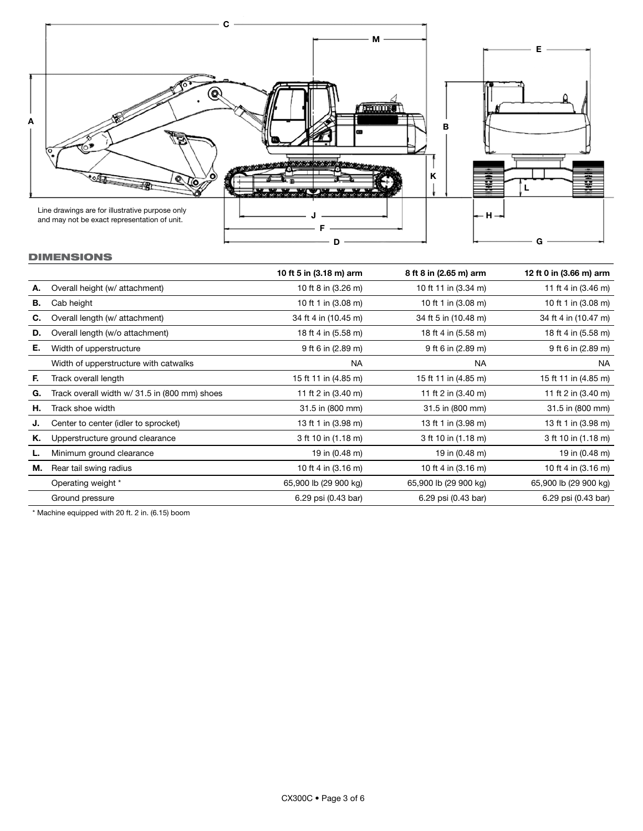

# DIMENSIONS

|    |                                               | 10 ft 5 in (3.18 m) arm | 8 ft 8 in (2.65 m) arm | 12 ft 0 in (3.66 m) arm |
|----|-----------------------------------------------|-------------------------|------------------------|-------------------------|
| А. | Overall height (w/ attachment)                | 10 ft 8 in (3.26 m)     | 10 ft 11 in (3.34 m)   | 11 ft 4 in (3.46 m)     |
| В. | Cab height                                    | 10 ft 1 in (3.08 m)     | 10 ft 1 in (3.08 m)    | 10 ft 1 in (3.08 m)     |
| C. | Overall length (w/ attachment)                | 34 ft 4 in (10.45 m)    | 34 ft 5 in (10.48 m)   | 34 ft 4 in (10.47 m)    |
| D. | Overall length (w/o attachment)               | 18 ft 4 in (5.58 m)     | 18 ft 4 in (5.58 m)    | 18 ft 4 in (5.58 m)     |
| Е. | Width of upperstructure                       | 9 ft 6 in (2.89 m)      | 9 ft 6 in (2.89 m)     | 9 ft 6 in (2.89 m)      |
|    | Width of upperstructure with catwalks         | <b>NA</b>               | <b>NA</b>              | NA                      |
| F. | Track overall length                          | 15 ft 11 in (4.85 m)    | 15 ft 11 in (4.85 m)   | 15 ft 11 in (4.85 m)    |
| G. | Track overall width w/ 31.5 in (800 mm) shoes | 11 ft 2 in (3.40 m)     | 11 ft 2 in (3.40 m)    | 11 ft 2 in (3.40 m)     |
| н. | Track shoe width                              | 31.5 in (800 mm)        | 31.5 in (800 mm)       | 31.5 in (800 mm)        |
| J. | Center to center (idler to sprocket)          | 13 ft 1 in (3.98 m)     | 13 ft 1 in (3.98 m)    | 13 ft 1 in (3.98 m)     |
| Κ. | Upperstructure ground clearance               | 3 ft 10 in (1.18 m)     | 3 ft 10 in (1.18 m)    | 3 ft 10 in (1.18 m)     |
|    | Minimum ground clearance                      | 19 in (0.48 m)          | 19 in (0.48 m)         | 19 in (0.48 m)          |
| М. | Rear tail swing radius                        | 10 ft 4 in (3.16 m)     | 10 ft 4 in (3.16 m)    | 10 ft 4 in (3.16 m)     |
|    | Operating weight *                            | 65,900 lb (29 900 kg)   | 65,900 lb (29 900 kg)  | 65,900 lb (29 900 kg)   |
|    | Ground pressure                               | 6.29 psi (0.43 bar)     | 6.29 psi (0.43 bar)    | 6.29 psi (0.43 bar)     |

\* Machine equipped with 20 ft. 2 in. (6.15) boom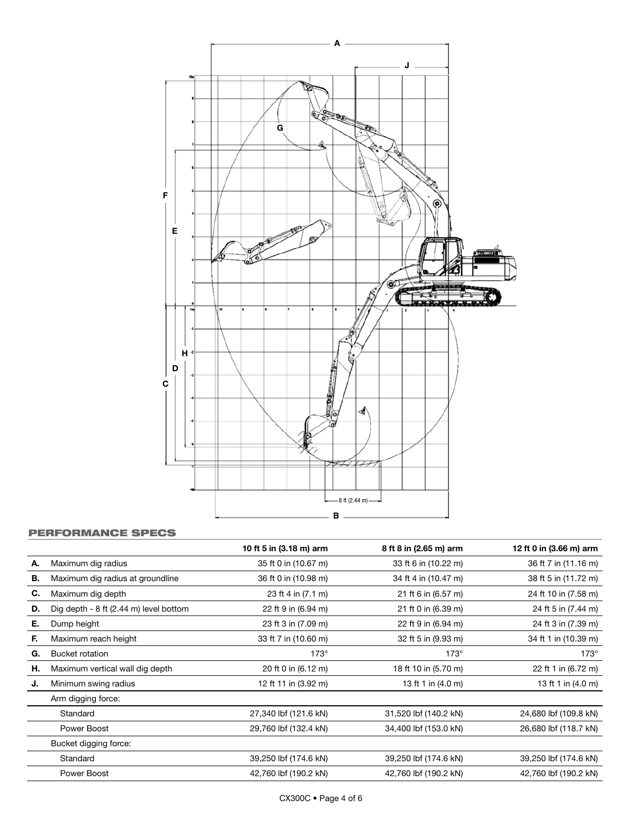

# PERFORMANCE SPECS

|    |                                        | 10 ft 5 in (3.18 m) arm | 8 ft 8 in (2.65 m) arm | 12 ft 0 in (3.66 m) arm |
|----|----------------------------------------|-------------------------|------------------------|-------------------------|
| А. | Maximum dig radius                     | 35 ft 0 in (10.67 m)    | 33 ft 6 in (10.22 m)   | 36 ft 7 in (11.16 m)    |
| В. | Maximum dig radius at groundline       | 36 ft 0 in (10.98 m)    | 34 ft 4 in (10.47 m)   | 38 ft 5 in (11.72 m)    |
| C. | Maximum dig depth                      | 23 ft 4 in (7.1 m)      | 21 ft 6 in (6.57 m)    | 24 ft 10 in (7.58 m)    |
| D. | Dig depth - 8 ft (2.44 m) level bottom | 22 ft 9 in (6.94 m)     | 21 ft 0 in (6.39 m)    | 24 ft 5 in (7.44 m)     |
| Е. | Dump height                            | 23 ft 3 in (7.09 m)     | 22 ft 9 in (6.94 m)    | 24 ft 3 in (7.39 m)     |
| Е. | Maximum reach height                   | 33 ft 7 in (10.60 m)    | 32 ft 5 in (9.93 m)    | 34 ft 1 in (10.39 m)    |
| G. | <b>Bucket rotation</b>                 | $173^\circ$             | $173^\circ$            | $173^\circ$             |
| н. | Maximum vertical wall dig depth        | 20 ft 0 in (6.12 m)     | 18 ft 10 in (5.70 m)   | 22 ft 1 in (6.72 m)     |
| J. | Minimum swing radius                   | 12 ft 11 in (3.92 m)    | 13 ft 1 in (4.0 m)     | 13 ft 1 in (4.0 m)      |
|    | Arm digging force:                     |                         |                        |                         |
|    | Standard                               | 27,340 lbf (121.6 kN)   | 31,520 lbf (140.2 kN)  | 24,680 lbf (109.8 kN)   |
|    | Power Boost                            | 29,760 lbf (132.4 kN)   | 34,400 lbf (153.0 kN)  | 26,680 lbf (118.7 kN)   |
|    | Bucket digging force:                  |                         |                        |                         |
|    | Standard                               | 39,250 lbf (174.6 kN)   | 39,250 lbf (174.6 kN)  | 39,250 lbf (174.6 kN)   |
|    | Power Boost                            | 42,760 lbf (190.2 kN)   | 42,760 lbf (190.2 kN)  | 42,760 lbf (190.2 kN)   |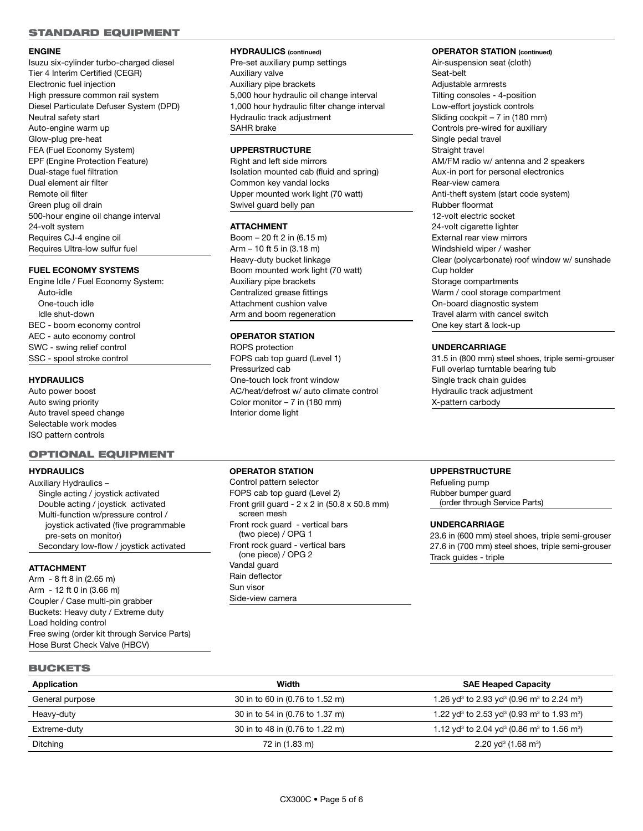#### STANDARD EQUIPMENT

#### **ENGINE**

Isuzu six-cylinder turbo-charged diesel Tier 4 Interim Certified (CEGR) Electronic fuel injection High pressure common rail system Diesel Particulate Defuser System (DPD) Neutral safety start Auto-engine warm up Glow-plug pre-heat FEA (Fuel Economy System) EPF (Engine Protection Feature) Dual-stage fuel filtration Dual element air filter Remote oil filter Green plug oil drain 500-hour engine oil change interval 24-volt system Requires CJ-4 engine oil Requires Ultra-low sulfur fuel

## **FUEL ECONOMY SYSTEMS**

Engine Idle / Fuel Economy System: Auto-idle One-touch idle Idle shut-down BEC - boom economy control AEC - auto economy control SWC - swing relief control SSC - spool stroke control

#### **HYDRAULICS**

Auto power boost Auto swing priority Auto travel speed change Selectable work modes ISO pattern controls

# OPTIONAL EQUIPMENT

# **HYDRAULICS**

Auxiliary Hydraulics – Single acting / joystick activated Double acting / joystick activated Multi-function w/pressure control / joystick activated (five programmable pre-sets on monitor) Secondary low-flow / joystick activated

## **ATTACHMENT**

Arm - 8 ft 8 in (2.65 m) Arm - 12 ft 0 in (3.66 m) Coupler / Case multi-pin grabber Buckets: Heavy duty / Extreme duty Load holding control Free swing (order kit through Service Parts) Hose Burst Check Valve (HBCV)

# **HYDRAULICS (continued)**

Pre-set auxiliary pump settings Auxiliary valve Auxiliary pipe brackets 5,000 hour hydraulic oil change interval 1,000 hour hydraulic filter change interval Hydraulic track adjustment SAHR brake

# **UPPERSTRUCTURE**

Right and left side mirrors Isolation mounted cab (fluid and spring) Common key vandal locks Upper mounted work light (70 watt) Swivel guard belly pan

#### **ATTACHMENT**

Boom – 20 ft 2 in (6.15 m) Arm – 10 ft 5 in (3.18 m) Heavy-duty bucket linkage Boom mounted work light (70 watt) Auxiliary pipe brackets Centralized grease fittings Attachment cushion valve Arm and boom regeneration

# **OPERATOR STATION**

ROPS protection FOPS cab top guard (Level 1) Pressurized cab One-touch lock front window AC/heat/defrost w/ auto climate control Color monitor – 7 in (180 mm) Interior dome light

#### **OPERATOR STATION (continued)**

Air-suspension seat (cloth) Seat-belt Adiustable armrests Tilting consoles - 4-position Low-effort joystick controls Sliding cockpit – 7 in (180 mm) Controls pre-wired for auxiliary Single pedal travel Straight travel AM/FM radio w/ antenna and 2 speakers Aux-in port for personal electronics Rear-view camera Anti-theft system (start code system) Rubber floormat 12-volt electric socket 24-volt cigarette lighter External rear view mirrors Windshield wiper / washer Clear (polycarbonate) roof window w/ sunshade Cup holder Storage compartments Warm / cool storage compartment On-board diagnostic system Travel alarm with cancel switch One key start & lock-up

#### **UNDERCARRIAGE**

31.5 in (800 mm) steel shoes, triple semi-grouser Full overlap turntable bearing tub Single track chain guides Hydraulic track adjustment X-pattern carbody

#### **OPERATOR STATION**

Control pattern selector FOPS cab top guard (Level 2) Front grill guard - 2 x 2 in (50.8 x 50.8 mm) screen mesh Front rock guard - vertical bars (two piece) / OPG 1 Front rock guard - vertical bars (one piece) / OPG 2 Vandal guard Rain deflector Sun visor Side-view camera

## **UPPERSTRUCTURE**

Refueling pump Rubber bumper guard (order through Service Parts)

#### **UNDERCARRIAGE**

23.6 in (600 mm) steel shoes, triple semi-grouser 27.6 in (700 mm) steel shoes, triple semi-grouser Track guides - triple

|--|--|--|

| Application     | Width                           | <b>SAE Heaped Capacity</b>                                                                 |
|-----------------|---------------------------------|--------------------------------------------------------------------------------------------|
| General purpose | 30 in to 60 in (0.76 to 1.52 m) | 1.26 yd <sup>3</sup> to 2.93 yd <sup>3</sup> (0.96 m <sup>3</sup> to 2.24 m <sup>3</sup> ) |
| Heavy-duty      | 30 in to 54 in (0.76 to 1.37 m) | 1.22 yd <sup>3</sup> to 2.53 yd <sup>3</sup> (0.93 m <sup>3</sup> to 1.93 m <sup>3</sup> ) |
| Extreme-duty    | 30 in to 48 in (0.76 to 1.22 m) | 1.12 yd <sup>3</sup> to 2.04 yd <sup>3</sup> (0.86 m <sup>3</sup> to 1.56 m <sup>3</sup> ) |
| <b>Ditching</b> | 72 in (1.83 m)                  | $2.20 \text{ yd}^3 \,(1.68 \text{ m}^3)$                                                   |